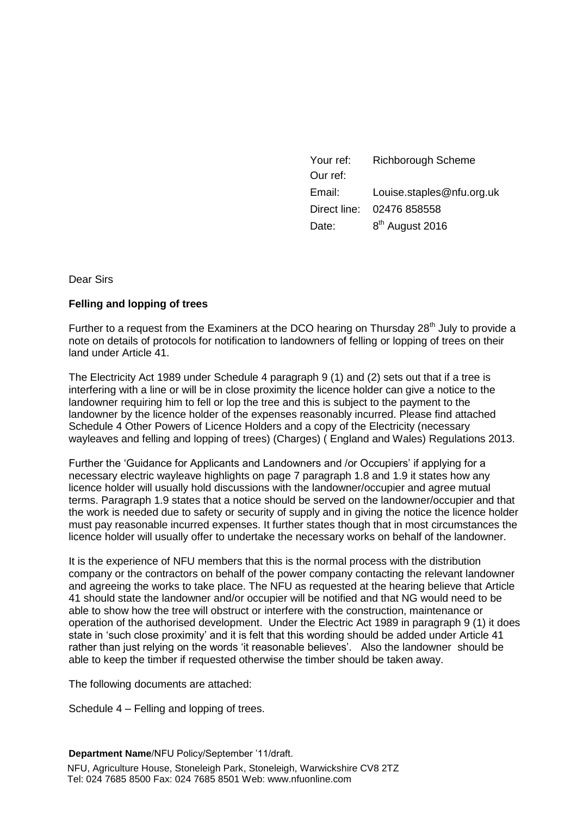| Your ref:    | <b>Richborough Scheme</b>   |
|--------------|-----------------------------|
| Our ref:     |                             |
| Email:       | Louise.staples@nfu.org.uk   |
| Direct line: | 02476 858558                |
| Date:        | 8 <sup>th</sup> August 2016 |

Dear Sirs

### **Felling and lopping of trees**

Further to a request from the Examiners at the DCO hearing on Thursday  $28<sup>th</sup>$  July to provide a note on details of protocols for notification to landowners of felling or lopping of trees on their land under Article 41.

The Electricity Act 1989 under Schedule 4 paragraph 9 (1) and (2) sets out that if a tree is interfering with a line or will be in close proximity the licence holder can give a notice to the landowner requiring him to fell or lop the tree and this is subject to the payment to the landowner by the licence holder of the expenses reasonably incurred. Please find attached Schedule 4 Other Powers of Licence Holders and a copy of the Electricity (necessary wayleaves and felling and lopping of trees) (Charges) ( England and Wales) Regulations 2013.

Further the 'Guidance for Applicants and Landowners and /or Occupiers' if applying for a necessary electric wayleave highlights on page 7 paragraph 1.8 and 1.9 it states how any licence holder will usually hold discussions with the landowner/occupier and agree mutual terms. Paragraph 1.9 states that a notice should be served on the landowner/occupier and that the work is needed due to safety or security of supply and in giving the notice the licence holder must pay reasonable incurred expenses. It further states though that in most circumstances the licence holder will usually offer to undertake the necessary works on behalf of the landowner.

It is the experience of NFU members that this is the normal process with the distribution company or the contractors on behalf of the power company contacting the relevant landowner and agreeing the works to take place. The NFU as requested at the hearing believe that Article 41 should state the landowner and/or occupier will be notified and that NG would need to be able to show how the tree will obstruct or interfere with the construction, maintenance or operation of the authorised development. Under the Electric Act 1989 in paragraph 9 (1) it does state in 'such close proximity' and it is felt that this wording should be added under Article 41 rather than just relying on the words 'it reasonable believes'. Also the landowner should be able to keep the timber if requested otherwise the timber should be taken away.

The following documents are attached:

Schedule 4 – Felling and lopping of trees.

**Department Name**/NFU Policy/September '11/draft. NFU, Agriculture House, Stoneleigh Park, Stoneleigh, Warwickshire CV8 2TZ Tel: 024 7685 8500 Fax: 024 7685 8501 Web: www.nfuonline.com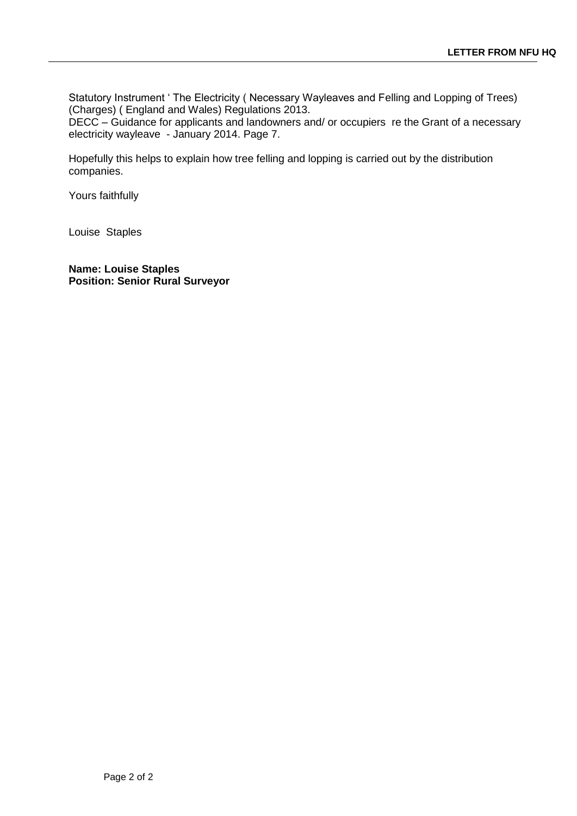Statutory Instrument ' The Electricity ( Necessary Wayleaves and Felling and Lopping of Trees) (Charges) ( England and Wales) Regulations 2013.

DECC – Guidance for applicants and landowners and/ or occupiers re the Grant of a necessary electricity wayleave - January 2014. Page 7.

Hopefully this helps to explain how tree felling and lopping is carried out by the distribution companies.

Yours faithfully

Louise Staples

**Name: Louise Staples Position: Senior Rural Surveyor**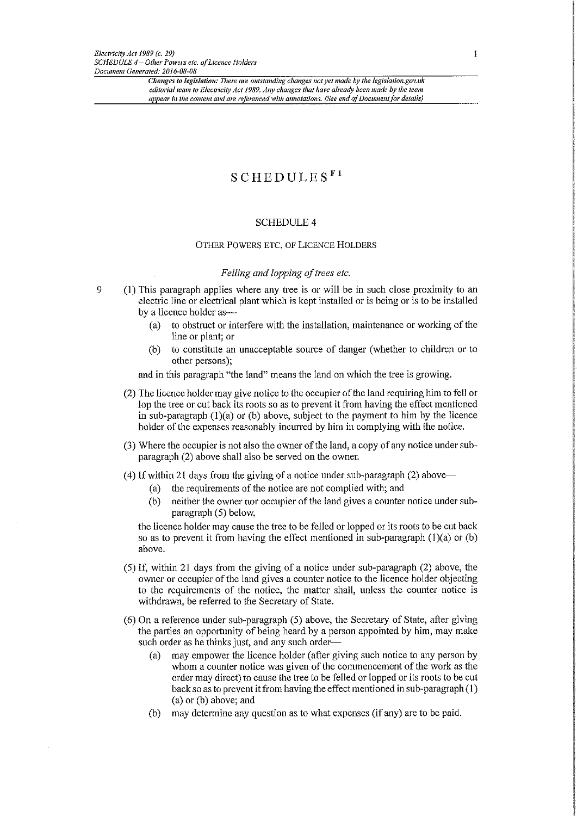9

## $S$ CHEDULES<sup>F1</sup>

### **SCHEDULE 4**

### OTHER POWERS ETC. OF LICENCE HOLDERS

### Felling and lopping of trees etc.

- (1) This paragraph applies where any tree is or will be in such close proximity to an electric line or electrical plant which is kept installed or is being or is to be installed by a licence holder as
	- to obstruct or interfere with the installation, maintenance or working of the  $(a)$ line or plant; or
	- $(b)$ to constitute an unacceptable source of danger (whether to children or to other persons);

and in this paragraph "the land" means the land on which the tree is growing.

- (2) The licence holder may give notice to the occupier of the land requiring him to fell or lop the tree or cut back its roots so as to prevent it from having the effect mentioned in sub-paragraph  $(1)(a)$  or  $(b)$  above, subject to the payment to him by the licence holder of the expenses reasonably incurred by him in complying with the notice.
- (3) Where the occupier is not also the owner of the land, a copy of any notice under subparagraph (2) above shall also be served on the owner.
- $(4)$  If within 21 days from the giving of a notice under sub-paragraph (2) above
	- the requirements of the notice are not complied with; and (a)
	- $(b)$ neither the owner nor occupier of the land gives a counter notice under subparagraph (5) below,

the licence holder may cause the tree to be felled or lopped or its roots to be cut back so as to prevent it from having the effect mentioned in sub-paragraph  $(1)(a)$  or  $(b)$ above.

- (5) If, within 21 days from the giving of a notice under sub-paragraph (2) above, the owner or occupier of the land gives a counter notice to the licence holder objecting to the requirements of the notice, the matter shall, unless the counter notice is withdrawn, be referred to the Secretary of State.
- (6) On a reference under sub-paragraph (5) above, the Secretary of State, after giving the parties an opportunity of being heard by a person appointed by him, may make such order as he thinks just, and any such order
	- may empower the licence holder (after giving such notice to any person by  $(a)$ whom a counter notice was given of the commencement of the work as the order may direct) to cause the tree to be felled or lopped or its roots to be cut back so as to prevent it from having the effect mentioned in sub-paragraph (1)  $(a)$  or  $(b)$  above; and
	- may determine any question as to what expenses (if any) are to be paid.  $(b)$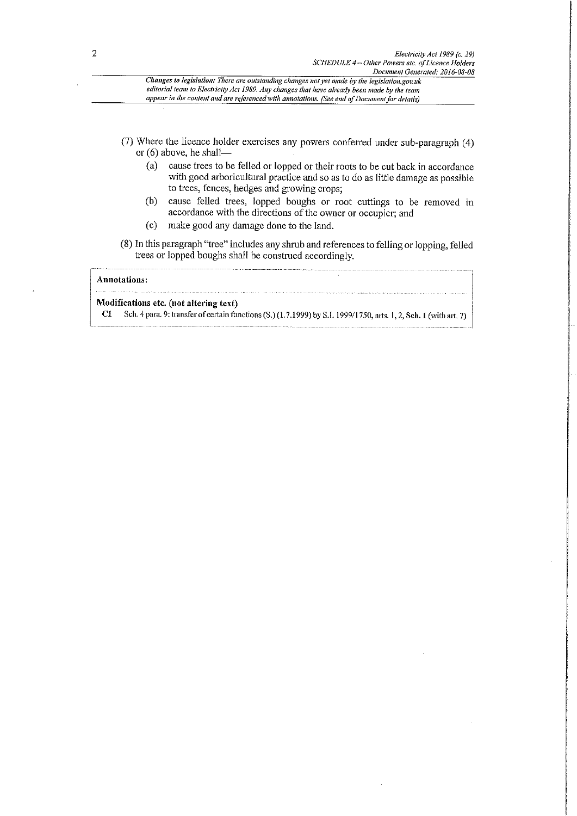Changes to legislation: There are outstanding changes not yet made by the legislation.gov.uk editorial team to Electricity Act 1989. Any changes that have already been made by the team appear in the content and are referenced with annotations. (See end of Document for details)

- (7) Where the licence holder exercises any powers conferred under sub-paragraph (4) or  $(6)$  above, he shall
	- cause trees to be felled or lopped or their roots to be cut back in accordance  $(a)$ with good arboricultural practice and so as to do as little damage as possible to trees, fences, hedges and growing crops;
	- cause felled trees, lopped boughs or root cuttings to be removed in  $(b)$ accordance with the directions of the owner or occupier; and
	- make good any damage done to the land.  $(c)$

(8) In this paragraph "tree" includes any shrub and references to felling or lopping, felled trees or lopped boughs shall be construed accordingly.

### **Annotations:** للمراجع والمناجين

### Modifications etc. (not altering text)

Sch. 4 para. 9: transfer of certain functions (S.) (1.7.1999) by S.I. 1999/1750, arts. 1, 2, Sch. 1 (with art. 7)  $C1$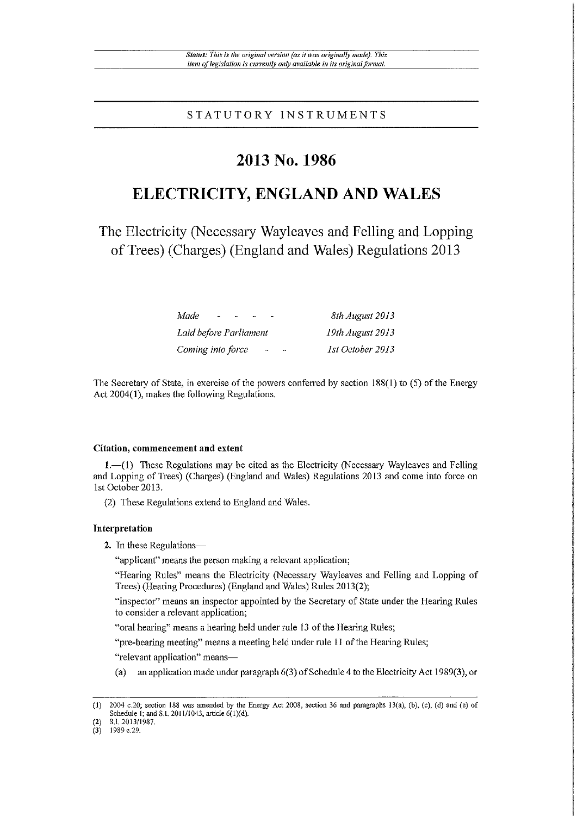STATUTORY INSTRUMENTS

## 2013 No. 1986

# ELECTRICITY, ENGLAND AND WALES

The Electricity (Necessary Wayleaves and Felling and Lopping of Trees) (Charges) (England and Wales) Regulations 2013

| Made.<br>$\blacksquare$<br>Н   | 8th August 2013                   |
|--------------------------------|-----------------------------------|
| Laid before Parliament         | 19th August 2013                  |
| Coming into force<br>$\bullet$ | 1st October 2013<br>$\rightarrow$ |

The Secretary of State, in exercise of the powers conferred by section  $188(1)$  to (5) of the Energy Act  $2004(1)$ , makes the following Regulations.

#### Citation, commencement and extent

 $1.$  These Regulations may be cited as the Electricity (Necessary Wayleaves and Felling and Lopping of Trees) (Charges) (England and Wales) Regulations 2013 and come into force on 1st October 2013.

(2) These Regulations extend to England and Wales.

### Interpretation

2. In these Regulations-

"applicant" means the person making a relevant application;

"Hearing Rules" means the Electricity (Necessary Wayleaves and Felling and Lopping of Trees) (Hearing Procedures) (England and Wales) Rules 2013(2);

"inspector" means an inspector appointed by the Secretary of State under the Hearing Rules to consider a relevant application;

"oral hearing" means a hearing held under rule 13 of the Hearing Rules;

"pre-hearing meeting" means a meeting held under rule 11 of the Hearing Rules;

"relevant application" means-

 $(a)$ an application made under paragraph  $6(3)$  of Schedule 4 to the Electricity Act 1989(3), or

 $(1)$ 2004 c.20; section 188 was amended by the Energy Act 2008, section 36 and paragraphs 13(a), (b), (c), (d) and (e) of Schedule 1; and S.I. 2011/1043, article 6(1)(d). S.I. 2013/1987.

 $(3)$ 1989 c.29.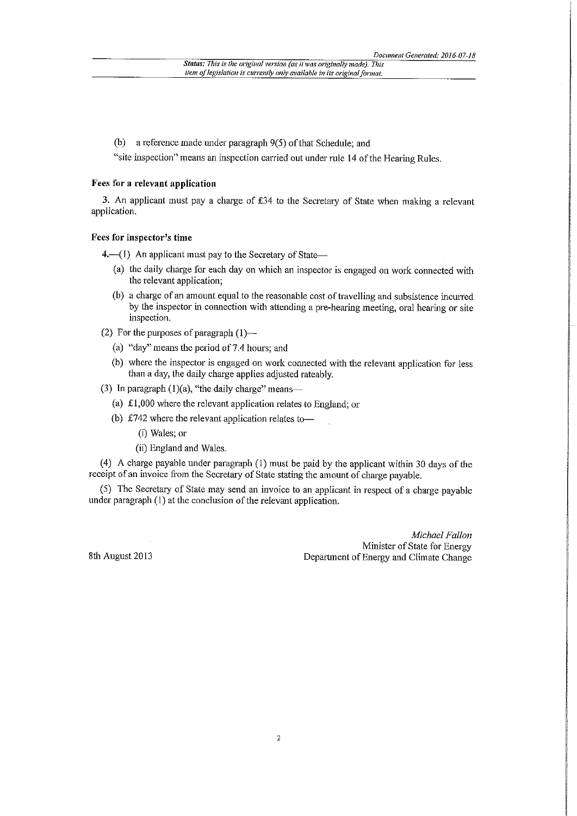(b) a reference made under paragraph  $9(5)$  of that Schedule; and

"site inspection" means an inspection carried out under rule 14 of the Hearing Rules.

### Fees for a relevant application

3. An applicant must pay a charge of £34 to the Secretary of State when making a relevant application.

### Fees for inspector's time

4. (1) An applicant must pay to the Secretary of State—

- (a) the daily charge for each day on which an inspector is engaged on work connected with the relevant application;
- (b) a charge of an amount equal to the reasonable cost of travelling and subsistence incurred by the inspector in connection with attending a pre-hearing meeting, oral hearing or site inspection.
- (2) For the purposes of paragraph  $(1)$ 
	- (a) "day" means the period of 7.4 hours; and
	- (b) where the inspector is engaged on work connected with the relevant application for less than a day, the daily charge applies adjusted rateably.
- (3) In paragraph  $(1)(a)$ , "the daily charge" means-
	- (a)  $\pounds1,000$  where the relevant application relates to England; or
	- (b) £742 where the relevant application relates to-
		- (i) Wales: or
		- (ii) England and Wales.

(4) A charge payable under paragraph (1) must be paid by the applicant within 30 days of the receipt of an invoice from the Secretary of State stating the amount of charge payable.

(5) The Secretary of State may send an invoice to an applicant in respect of a charge payable under paragraph (1) at the conclusion of the relevant application.

> Michael Fallon Minister of State for Energy Department of Energy and Climate Change

8th August 2013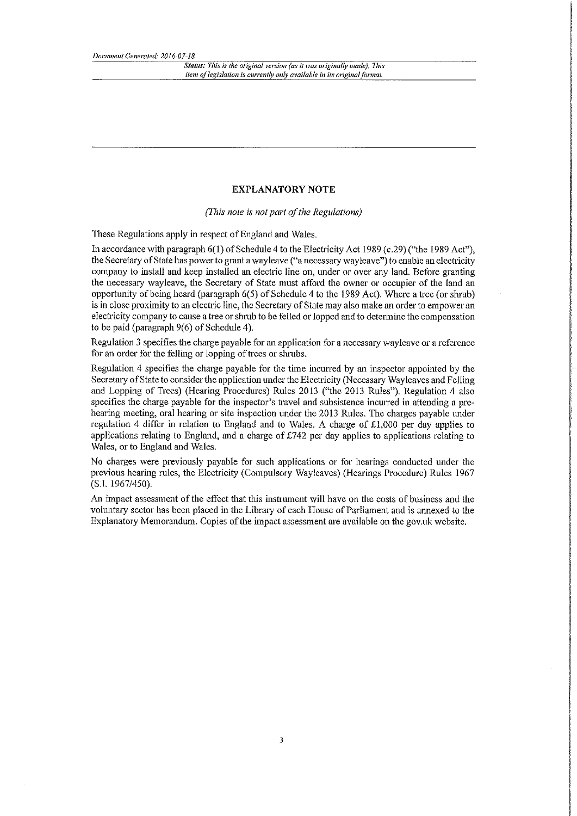Status: This is the original version (as it was originally made). This item of legislation is currently only available in its original format.

### **EXPLANATORY NOTE**

(This note is not part of the Regulations)

These Regulations apply in respect of England and Wales.

In accordance with paragraph 6(1) of Schedule 4 to the Electricity Act 1989 (c.29) ("the 1989 Act"), the Secretary of State has power to grant a wayleave ("a necessary wayleave") to enable an electricity company to install and keep installed an electric line on, under or over any land. Before granting the necessary wayleave, the Secretary of State must afford the owner or occupier of the land an opportunity of being heard (paragraph 6(5) of Schedule 4 to the 1989 Act). Where a tree (or shrub) is in close proximity to an electric line, the Secretary of State may also make an order to empower an electricity company to cause a tree or shrub to be felled or lopped and to determine the compensation to be paid (paragraph  $9(6)$  of Schedule 4).

Regulation 3 specifies the charge payable for an application for a necessary wayleave or a reference for an order for the felling or lopping of trees or shrubs.

Regulation 4 specifies the charge payable for the time incurred by an inspector appointed by the Secretary of State to consider the application under the Electricity (Necessary Wayleaves and Felling and Lopping of Trees) (Hearing Procedures) Rules 2013 ("the 2013 Rules"). Regulation 4 also specifies the charge payable for the inspector's travel and subsistence incurred in attending a prehearing meeting, oral hearing or site inspection under the 2013 Rules. The charges payable under regulation 4 differ in relation to England and to Wales. A charge of £1,000 per day applies to applications relating to England, and a charge of  $\text{\pounds}742$  per day applies to applications relating to Wales, or to England and Wales.

No charges were previously payable for such applications or for hearings conducted under the previous hearing rules, the Electricity (Compulsory Wayleaves) (Hearings Procedure) Rules 1967  $(S.I. 1967/450).$ 

An impact assessment of the effect that this instrument will have on the costs of business and the voluntary sector has been placed in the Library of each House of Parliament and is annexed to the Explanatory Memorandum. Copies of the impact assessment are available on the gov.uk website.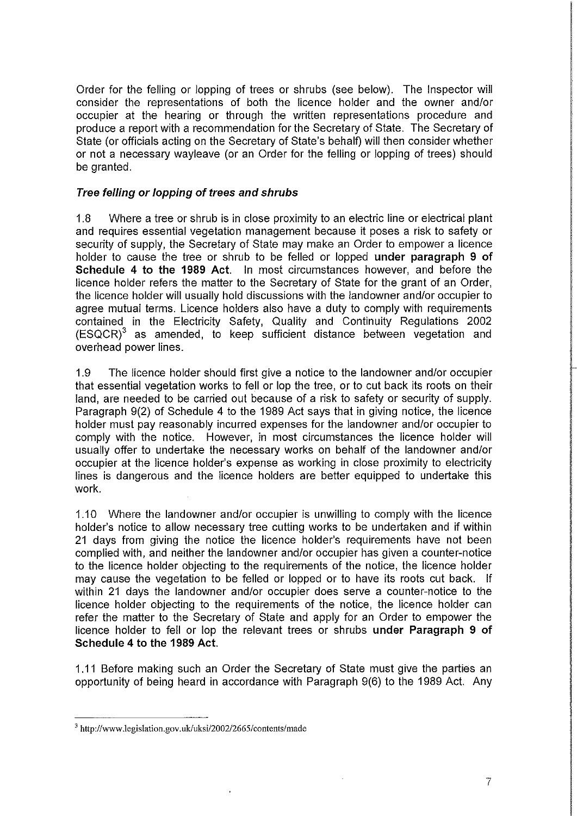Order for the felling or lopping of trees or shrubs (see below). The Inspector will consider the representations of both the licence holder and the owner and/or occupier at the hearing or through the written representations procedure and produce a report with a recommendation for the Secretary of State. The Secretary of State (or officials acting on the Secretary of State's behalf) will then consider whether or not a necessary wayleave (or an Order for the felling or lopping of trees) should be granted.

### Tree felling or lopping of trees and shrubs

 $1.8$ Where a tree or shrub is in close proximity to an electric line or electrical plant and requires essential vegetation management because it poses a risk to safety or security of supply, the Secretary of State may make an Order to empower a licence holder to cause the tree or shrub to be felled or lopped under paragraph 9 of Schedule 4 to the 1989 Act. In most circumstances however, and before the licence holder refers the matter to the Secretary of State for the grant of an Order, the licence holder will usually hold discussions with the landowner and/or occupier to agree mutual terms. Licence holders also have a duty to comply with requirements contained in the Electricity Safety, Quality and Continuity Regulations 2002  $(ESQCR)^3$  as amended, to keep sufficient distance between vegetation and overhead power lines.

The licence holder should first give a notice to the landowner and/or occupier 1.9 that essential vegetation works to fell or lop the tree, or to cut back its roots on their land, are needed to be carried out because of a risk to safety or security of supply. Paragraph 9(2) of Schedule 4 to the 1989 Act says that in giving notice, the licence holder must pay reasonably incurred expenses for the landowner and/or occupier to comply with the notice. However, in most circumstances the licence holder will usually offer to undertake the necessary works on behalf of the landowner and/or occupier at the licence holder's expense as working in close proximity to electricity lines is dangerous and the licence holders are better equipped to undertake this work.

1.10 Where the landowner and/or occupier is unwilling to comply with the licence holder's notice to allow necessary tree cutting works to be undertaken and if within 21 days from giving the notice the licence holder's requirements have not been complied with, and neither the landowner and/or occupier has given a counter-notice to the licence holder objecting to the requirements of the notice, the licence holder may cause the vegetation to be felled or lopped or to have its roots cut back. If within 21 days the landowner and/or occupier does serve a counter-notice to the licence holder objecting to the requirements of the notice, the licence holder can refer the matter to the Secretary of State and apply for an Order to empower the licence holder to fell or lop the relevant trees or shrubs under Paragraph 9 of Schedule 4 to the 1989 Act.

1.11 Before making such an Order the Secretary of State must give the parties an opportunity of being heard in accordance with Paragraph 9(6) to the 1989 Act. Any

<sup>&</sup>lt;sup>3</sup> http://www.legislation.gov.uk/uksi/2002/2665/contents/made